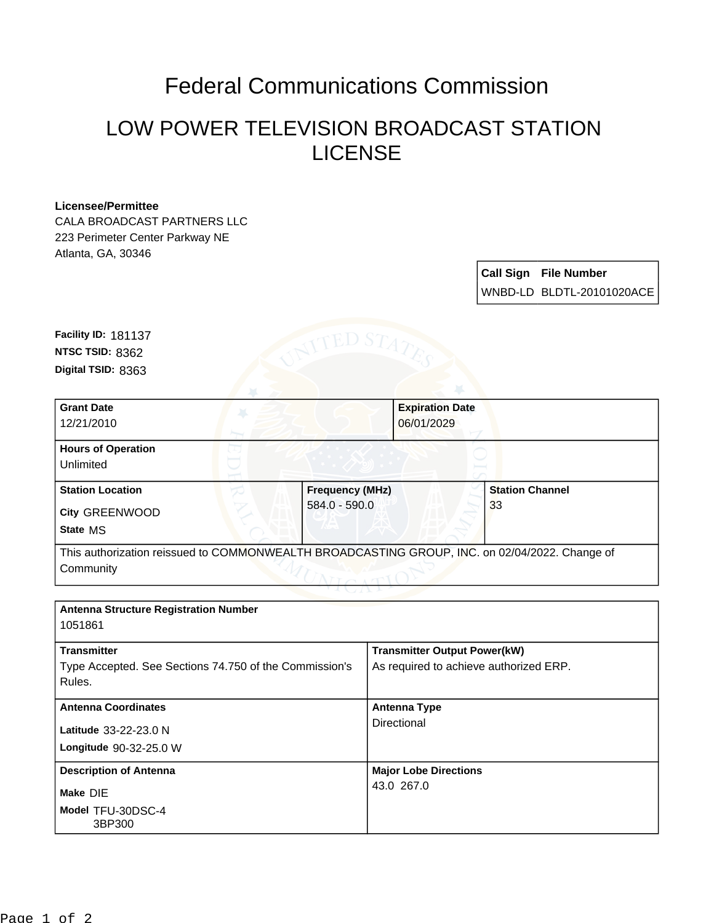## Federal Communications Commission

## LOW POWER TELEVISION BROADCAST STATION LICENSE

## **Licensee/Permittee**

CALA BROADCAST PARTNERS LLC 223 Perimeter Center Parkway NE Atlanta, GA, 30346

> **Call Sign File Number** WNBD-LD BLDTL-20101020ACE

**Digital TSID:** 8363 **NTSC TSID:** 8362 **Facility ID:** 181137

| <b>Grant Date</b>         | <b>Expiration Date</b>                                                                        |                        |
|---------------------------|-----------------------------------------------------------------------------------------------|------------------------|
| 12/21/2010                | 06/01/2029                                                                                    |                        |
| <b>Hours of Operation</b> |                                                                                               |                        |
| Unlimited                 |                                                                                               |                        |
| <b>Station Location</b>   | <b>Frequency (MHz)</b>                                                                        | <b>Station Channel</b> |
| <b>City GREENWOOD</b>     | 584.0 - 590.0                                                                                 | 33                     |
| State MS                  |                                                                                               |                        |
| Community                 | This authorization reissued to COMMONWEALTH BROADCASTING GROUP, INC. on 02/04/2022. Change of |                        |

| <b>Antenna Structure Registration Number</b><br>1051861                                |                                                                               |
|----------------------------------------------------------------------------------------|-------------------------------------------------------------------------------|
| <b>Transmitter</b><br>Type Accepted. See Sections 74.750 of the Commission's<br>Rules. | <b>Transmitter Output Power(kW)</b><br>As required to achieve authorized ERP. |
| <b>Antenna Coordinates</b><br>Latitude 33-22-23.0 N<br>Longitude 90-32-25.0 W          | <b>Antenna Type</b><br>Directional                                            |
| <b>Description of Antenna</b><br>Make DIE<br>Model TFU-30DSC-4<br>3BP300               | <b>Major Lobe Directions</b><br>43.0 267.0                                    |